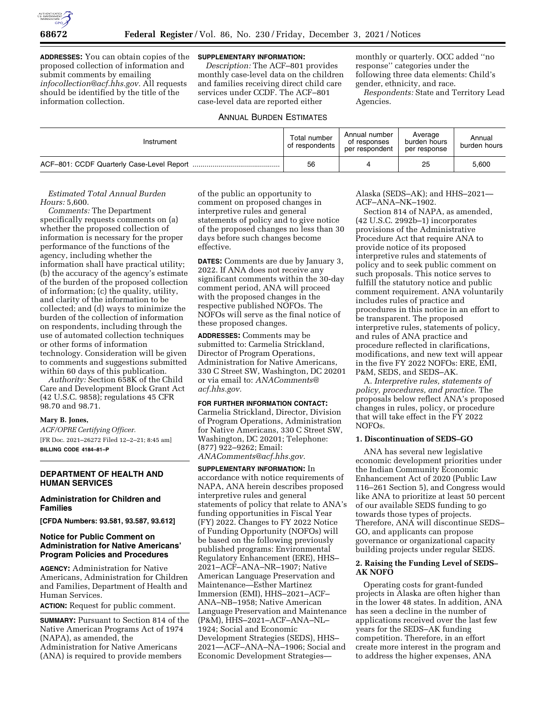

**ADDRESSES:** You can obtain copies of the proposed collection of information and submit comments by emailing *[infocollection@acf.hhs.gov.](mailto:infocollection@acf.hhs.gov)* All requests should be identified by the title of the information collection.

## **SUPPLEMENTARY INFORMATION:**

*Description:* The ACF–801 provides monthly case-level data on the children and families receiving direct child care services under CCDF. The ACF–801 case-level data are reported either

### ANNUAL BURDEN ESTIMATES

monthly or quarterly. OCC added ''no response'' categories under the following three data elements: Child's gender, ethnicity, and race.

*Respondents:* State and Territory Lead Agencies.

| Instrument | Total number<br>of respondents | Annual number<br>of responses<br>per respondent | Average<br>burden hours<br>per response | Annual<br>burden hours |
|------------|--------------------------------|-------------------------------------------------|-----------------------------------------|------------------------|
|            | 56                             |                                                 | 25                                      | 5.600                  |

### *Estimated Total Annual Burden Hours:* 5,600.

*Comments:* The Department specifically requests comments on (a) whether the proposed collection of information is necessary for the proper performance of the functions of the agency, including whether the information shall have practical utility; (b) the accuracy of the agency's estimate of the burden of the proposed collection of information; (c) the quality, utility, and clarity of the information to be collected; and (d) ways to minimize the burden of the collection of information on respondents, including through the use of automated collection techniques or other forms of information technology. Consideration will be given to comments and suggestions submitted within 60 days of this publication.

*Authority:* Section 658K of the Child Care and Development Block Grant Act (42 U.S.C. 9858); regulations 45 CFR 98.70 and 98.71.

### **Mary B. Jones,**

*ACF/OPRE Certifying Officer.*  [FR Doc. 2021–26272 Filed 12–2–21; 8:45 am] **BILLING CODE 4184–81–P** 

# **DEPARTMENT OF HEALTH AND HUMAN SERVICES**

## **Administration for Children and Families**

**[CFDA Numbers: 93.581, 93.587, 93.612]** 

# **Notice for Public Comment on Administration for Native Americans' Program Policies and Procedures**

**AGENCY:** Administration for Native Americans, Administration for Children and Families, Department of Health and Human Services.

**ACTION:** Request for public comment.

**SUMMARY:** Pursuant to Section 814 of the Native American Programs Act of 1974 (NAPA), as amended, the Administration for Native Americans (ANA) is required to provide members

of the public an opportunity to comment on proposed changes in interpretive rules and general statements of policy and to give notice of the proposed changes no less than 30 days before such changes become effective.

**DATES:** Comments are due by January 3, 2022. If ANA does not receive any significant comments within the 30-day comment period, ANA will proceed with the proposed changes in the respective published NOFOs. The NOFOs will serve as the final notice of these proposed changes.

**ADDRESSES:** Comments may be submitted to: Carmelia Strickland, Director of Program Operations, Administration for Native Americans, 330 C Street SW, Washington, DC 20201 or via email to: *[ANAComments@](mailto:ANAComments@acf.hhs.gov) [acf.hhs.gov.](mailto:ANAComments@acf.hhs.gov)* 

## **FOR FURTHER INFORMATION CONTACT:**

Carmelia Strickland, Director, Division of Program Operations, Administration for Native Americans, 330 C Street SW, Washington, DC 20201; Telephone: (877) 922–9262; Email: *[ANAComments@acf.hhs.gov.](mailto:ANAComments@acf.hhs.gov)* 

### **SUPPLEMENTARY INFORMATION:** In accordance with notice requirements of

NAPA, ANA herein describes proposed interpretive rules and general statements of policy that relate to ANA's funding opportunities in Fiscal Year (FY) 2022. Changes to FY 2022 Notice of Funding Opportunity (NOFOs) will be based on the following previously published programs: Environmental Regulatory Enhancement (ERE), HHS– 2021–ACF–ANA–NR–1907; Native American Language Preservation and Maintenance—Esther Martinez Immersion (EMI), HHS–2021–ACF– ANA–NB–1958; Native American Language Preservation and Maintenance (P&M), HHS–2021–ACF–ANA–NL– 1924; Social and Economic Development Strategies (SEDS), HHS– 2021—ACF–ANA–NA–1906; Social and Economic Development StrategiesAlaska (SEDS–AK); and HHS–2021— ACF–ANA–NK–1902.

Section 814 of NAPA, as amended, (42 U.S.C. 2992b–1) incorporates provisions of the Administrative Procedure Act that require ANA to provide notice of its proposed interpretive rules and statements of policy and to seek public comment on such proposals. This notice serves to fulfill the statutory notice and public comment requirement. ANA voluntarily includes rules of practice and procedures in this notice in an effort to be transparent. The proposed interpretive rules, statements of policy, and rules of ANA practice and procedure reflected in clarifications, modifications, and new text will appear in the five FY 2022 NOFOs: ERE, EMI, P&M, SEDS, and SEDS–AK.

A. *Interpretive rules, statements of policy, procedures, and practice.* The proposals below reflect ANA's proposed changes in rules, policy, or procedure that will take effect in the FY 2022 NOFOs.

### **1. Discontinuation of SEDS–GO**

ANA has several new legislative economic development priorities under the Indian Community Economic Enhancement Act of 2020 (Public Law 116–261 Section 5), and Congress would like ANA to prioritize at least 50 percent of our available SEDS funding to go towards those types of projects. Therefore, ANA will discontinue SEDS– GO, and applicants can propose governance or organizational capacity building projects under regular SEDS.

# **2. Raising the Funding Level of SEDS– AK NOFO**

Operating costs for grant-funded projects in Alaska are often higher than in the lower 48 states. In addition, ANA has seen a decline in the number of applications received over the last few years for the SEDS–AK funding competition. Therefore, in an effort create more interest in the program and to address the higher expenses, ANA